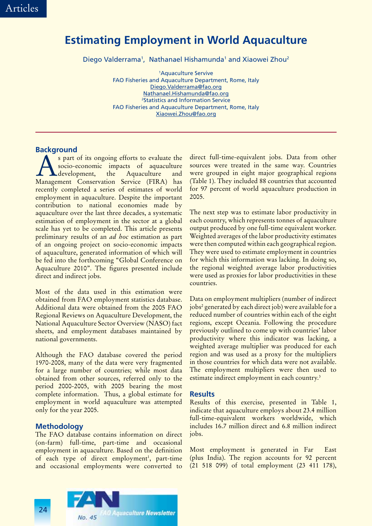## **Estimating Employment in World Aquaculture**

Diego Valderrama<sup>1</sup>, Nathanael Hishamunda<sup>1</sup> and Xiaowei Zhou<sup>2</sup>

1 Aquaculture Servive FAO Fisheries and Aquaculture Department, Rome, Italy Diego.Valderrama@fao.org Nathanael.Hishamunda@fao.org 2 Statistics and Information Service FAO Fisheries and Aquaculture Department, Rome, Italy Xiaowei.Zhou@fao.org

## **Background**

s part of its ongoing efforts to evaluate the<br>socio-economic impacts of aquaculture<br>development, the Aquaculture and socio-economic impacts of aquaculture .development, Management Conservation Service (FIRA) has recently completed a series of estimates of world employment in aquaculture. Despite the important contribution to national economies made by aquaculture over the last three decades, a systematic estimation of employment in the sector at a global scale has yet to be completed. This article presents preliminary results of an *ad hoc* estimation as part of an ongoing project on socio-economic impacts of aquaculture, generated information of which will be fed into the forthcoming "Global Conference on Aquaculture 2010". The figures presented include direct and indirect jobs.

Most of the data used in this estimation were obtained from FAO employment statistics database. Additional data were obtained from the 2005 FAO Regional Reviews on Aquaculture Development, the National Aquaculture Sector Overview (NASO) fact sheets, and employment databases maintained by national governments.

Although the FAO database covered the period 1970-2008, many of the data were very fragmented for a large number of countries; while most data obtained from other sources, referred only to the period 2000-2005, with 2005 bearing the most complete information. Thus, a global estimate for employment in world aquaculture was attempted only for the year 2005.

## **Methodology**

The FAO database contains information on direct (on-farm) full-time, part-time and occasional employment in aquaculture. Based on the definition of each type of direct employment<sup>1</sup>, part-time and occasional employments were converted to

direct full-time-equivalent jobs. Data from other sources were treated in the same way. Countries were grouped in eight major geographical regions (Table 1). They included 88 countries that accounted for 97 percent of world aquaculture production in 2005.

The next step was to estimate labor productivity in each country, which represents tonnes of aquaculture output produced by one full-time equivalent worker. Weighted averages of the labor productivity estimates were then computed within each geographical region. They were used to estimate employment in countries for which this information was lacking. In doing so, the regional weighted average labor productivities were used as proxies for labor productivities in these countries.

Data on employment multipliers (number of indirect jobs<sup>2</sup> generated by each direct job) were available for a reduced number of countries within each of the eight regions, except Oceania. Following the procedure previously outlined to come up with countries' labor productivity where this indicator was lacking, a weighted average multiplier was produced for each region and was used as a proxy for the multipliers in those countries for which data were not available. The employment multipliers were then used to estimate indirect employment in each country.<sup>3</sup>

## **Results**

Results of this exercise, presented in Table 1, indicate that aquaculture employs about 23.4 million full-time-equivalent workers worldwide, which includes 16.7 million direct and 6.8 million indirect jobs.

Most employment is generated in Far East (plus India). The region accounts for 92 percent (21 518 099) of total employment (23 411 178),